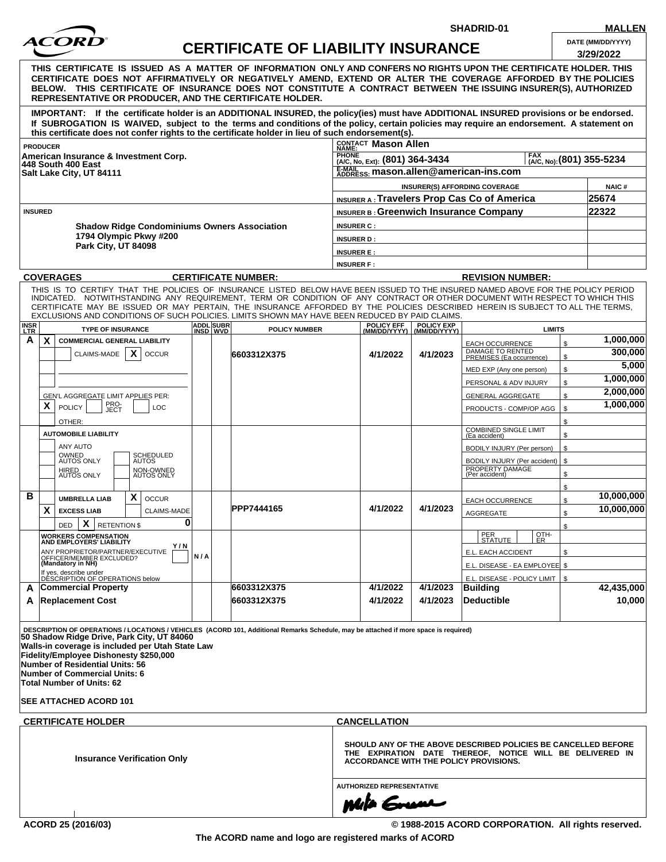

**SHADRID-01 MALLEN**

|                                       |                                                           | ACOKD                                                                                               |                                                     | <b>CERTIFICATE OF LIABILITY INSURANCE</b> |  |                                                                                                                                                                                                                                                                                                                                                                                                                                                                                                    |                                                 |                                      |                                                                        | DATE (MM/DD/YYYY)<br>3/29/2022 |  |
|---------------------------------------|-----------------------------------------------------------|-----------------------------------------------------------------------------------------------------|-----------------------------------------------------|-------------------------------------------|--|----------------------------------------------------------------------------------------------------------------------------------------------------------------------------------------------------------------------------------------------------------------------------------------------------------------------------------------------------------------------------------------------------------------------------------------------------------------------------------------------------|-------------------------------------------------|--------------------------------------|------------------------------------------------------------------------|--------------------------------|--|
|                                       |                                                           |                                                                                                     |                                                     |                                           |  | THIS CERTIFICATE IS ISSUED AS A MATTER OF INFORMATION ONLY AND CONFERS NO RIGHTS UPON THE CERTIFICATE HOLDER. THIS<br>CERTIFICATE DOES NOT AFFIRMATIVELY OR NEGATIVELY AMEND, EXTEND OR ALTER THE COVERAGE AFFORDED BY THE POLICIES<br>BELOW. THIS CERTIFICATE OF INSURANCE DOES NOT CONSTITUTE A CONTRACT BETWEEN THE ISSUING INSURER(S), AUTHORIZED<br><b>REPRESENTATIVE OR PRODUCER, AND THE CERTIFICATE HOLDER.</b>                                                                            |                                                 |                                      |                                                                        |                                |  |
|                                       |                                                           |                                                                                                     |                                                     |                                           |  | IMPORTANT: If the certificate holder is an ADDITIONAL INSURED, the policy(ies) must have ADDITIONAL INSURED provisions or be endorsed.<br>If SUBROGATION IS WAIVED, subject to the terms and conditions of the policy, certain policies may require an endorsement. A statement on<br>this certificate does not confer rights to the certificate holder in lieu of such endorsement(s).                                                                                                            |                                                 |                                      |                                                                        |                                |  |
|                                       | <b>PRODUCER</b>                                           |                                                                                                     |                                                     |                                           |  |                                                                                                                                                                                                                                                                                                                                                                                                                                                                                                    | CONTACT Mason Allen                             |                                      |                                                                        |                                |  |
| American Insurance & Investment Corp. |                                                           |                                                                                                     |                                                     |                                           |  |                                                                                                                                                                                                                                                                                                                                                                                                                                                                                                    | <b>PHONE</b><br>(A/C, No, Ext): (801) 364-3434  | $_{(A/C, No):}^{FAX}$ (801) 355-5234 |                                                                        |                                |  |
|                                       |                                                           | 448 South 400 East<br>Salt Lake City, UT 84111                                                      |                                                     |                                           |  |                                                                                                                                                                                                                                                                                                                                                                                                                                                                                                    | E-MAIL<br>ADDRESS: mason.allen@american-ins.com |                                      |                                                                        |                                |  |
|                                       |                                                           |                                                                                                     |                                                     |                                           |  |                                                                                                                                                                                                                                                                                                                                                                                                                                                                                                    | INSURER(S) AFFORDING COVERAGE                   | <b>NAIC#</b>                         |                                                                        |                                |  |
|                                       |                                                           |                                                                                                     |                                                     |                                           |  |                                                                                                                                                                                                                                                                                                                                                                                                                                                                                                    | INSURER A: Travelers Prop Cas Co of America     | 25674                                |                                                                        |                                |  |
|                                       | <b>INSURED</b>                                            |                                                                                                     |                                                     |                                           |  |                                                                                                                                                                                                                                                                                                                                                                                                                                                                                                    | <b>INSURER B: Greenwich Insurance Company</b>   | 22322                                |                                                                        |                                |  |
|                                       |                                                           |                                                                                                     | <b>Shadow Ridge Condominiums Owners Association</b> |                                           |  |                                                                                                                                                                                                                                                                                                                                                                                                                                                                                                    | <b>INSURER C:</b>                               |                                      |                                                                        |                                |  |
|                                       |                                                           | 1794 Olympic Pkwy #200                                                                              |                                                     |                                           |  |                                                                                                                                                                                                                                                                                                                                                                                                                                                                                                    | <b>INSURER D:</b>                               |                                      |                                                                        |                                |  |
|                                       |                                                           | Park City, UT 84098                                                                                 |                                                     |                                           |  |                                                                                                                                                                                                                                                                                                                                                                                                                                                                                                    | <b>INSURER E:</b>                               |                                      |                                                                        |                                |  |
|                                       |                                                           |                                                                                                     |                                                     |                                           |  |                                                                                                                                                                                                                                                                                                                                                                                                                                                                                                    | <b>INSURER F:</b>                               |                                      |                                                                        |                                |  |
|                                       |                                                           | <b>COVERAGES</b>                                                                                    |                                                     |                                           |  | <b>CERTIFICATE NUMBER:</b>                                                                                                                                                                                                                                                                                                                                                                                                                                                                         |                                                 |                                      | <b>REVISION NUMBER:</b>                                                |                                |  |
|                                       |                                                           |                                                                                                     |                                                     |                                           |  | THIS IS TO CERTIFY THAT THE POLICIES OF INSURANCE LISTED BELOW HAVE BEEN ISSUED TO THE INSURED NAMED ABOVE FOR THE POLICY PERIOD<br>INDICATED. NOTWITHSTANDING ANY REQUIREMENT, TERM OR CONDITION OF ANY CONTRACT OR OTHER DOCUMENT WITH RESPECT TO WHICH THIS<br>CERTIFICATE MAY BE ISSUED OR MAY PERTAIN. THE INSURANCE AFFORDED BY THE POLICIES DESCRIBED HEREIN IS SUBJECT TO ALL THE TERMS.<br>EXCLUSIONS AND CONDITIONS OF SUCH POLICIES. LIMITS SHOWN MAY HAVE BEEN REDUCED BY PAID CLAIMS. |                                                 |                                      |                                                                        |                                |  |
| <b>INSR</b><br><b>LTR</b>             |                                                           | <b>TYPE OF INSURANCE</b>                                                                            |                                                     | <b>ADDL</b> SUBR<br>INSD WVD              |  | <b>POLICY NUMBER</b>                                                                                                                                                                                                                                                                                                                                                                                                                                                                               | POLICY EFF                                      | POLICY EXP<br>(MM/DD/YYYY)           | <b>LIMITS</b>                                                          |                                |  |
| A                                     | X                                                         | <b>COMMERCIAL GENERAL LIABILITY</b>                                                                 |                                                     |                                           |  |                                                                                                                                                                                                                                                                                                                                                                                                                                                                                                    |                                                 |                                      | <b>EACH OCCURRENCE</b>                                                 | 1,000,000<br>\$                |  |
|                                       |                                                           | CLAIMS-MADE                                                                                         | X<br><b>OCCUR</b>                                   |                                           |  | 6603312X375                                                                                                                                                                                                                                                                                                                                                                                                                                                                                        | 4/1/2022                                        | 4/1/2023                             | DAMAGE TO RENTED<br>PREMISES (Ea occurrence)                           | 300,000<br>\$                  |  |
|                                       |                                                           |                                                                                                     |                                                     |                                           |  |                                                                                                                                                                                                                                                                                                                                                                                                                                                                                                    |                                                 |                                      | MED EXP (Any one person)                                               | 5,000<br>\$                    |  |
|                                       |                                                           |                                                                                                     |                                                     |                                           |  |                                                                                                                                                                                                                                                                                                                                                                                                                                                                                                    |                                                 |                                      | PERSONAL & ADV INJURY                                                  | 1,000,000<br>\$                |  |
|                                       |                                                           | GEN'L AGGREGATE LIMIT APPLIES PER:                                                                  |                                                     |                                           |  |                                                                                                                                                                                                                                                                                                                                                                                                                                                                                                    |                                                 |                                      | <b>GENERAL AGGREGATE</b>                                               | 2,000,000<br>\$                |  |
|                                       | X                                                         | PRO-<br>JECT<br><b>POLICY</b>                                                                       | LOC                                                 |                                           |  |                                                                                                                                                                                                                                                                                                                                                                                                                                                                                                    |                                                 |                                      | PRODUCTS - COMP/OP AGG                                                 | 1,000,000<br>\$                |  |
|                                       |                                                           | OTHER:                                                                                              |                                                     |                                           |  |                                                                                                                                                                                                                                                                                                                                                                                                                                                                                                    |                                                 |                                      |                                                                        | \$                             |  |
|                                       |                                                           | <b>AUTOMOBILE LIABILITY</b>                                                                         |                                                     |                                           |  |                                                                                                                                                                                                                                                                                                                                                                                                                                                                                                    |                                                 |                                      | <b>COMBINED SINGLE LIMIT</b><br>(Ea accident)                          | \$                             |  |
|                                       |                                                           | ANY AUTO                                                                                            |                                                     |                                           |  |                                                                                                                                                                                                                                                                                                                                                                                                                                                                                                    |                                                 |                                      | BODILY INJURY (Per person)                                             | \$                             |  |
|                                       |                                                           | OWNED<br>AUTOS ONLY<br>HIRED<br>AUTOS ONLY                                                          | SCHEDULED<br>AUTOS<br>NON-OWNED<br>AUTOS ONLY       |                                           |  |                                                                                                                                                                                                                                                                                                                                                                                                                                                                                                    |                                                 |                                      | BODILY INJURY (Per accident)   \$<br>PROPERTY DAMAGE<br>(Per accident) | \$                             |  |
| в                                     |                                                           | <b>UMBRELLA LIAB</b>                                                                                | X<br><b>OCCUR</b>                                   |                                           |  |                                                                                                                                                                                                                                                                                                                                                                                                                                                                                                    |                                                 |                                      |                                                                        | \$<br>10,000,000               |  |
|                                       | X                                                         | <b>EXCESS LIAB</b>                                                                                  | <b>CLAIMS-MADE</b>                                  |                                           |  | PPP7444165                                                                                                                                                                                                                                                                                                                                                                                                                                                                                         | 4/1/2022                                        | 4/1/2023                             | <b>EACH OCCURRENCE</b>                                                 | \$<br>10.000.000               |  |
|                                       |                                                           | X<br><b>RETENTION \$</b><br><b>DED</b>                                                              | 0                                                   |                                           |  |                                                                                                                                                                                                                                                                                                                                                                                                                                                                                                    |                                                 |                                      | <b>AGGREGATE</b>                                                       | \$                             |  |
|                                       |                                                           |                                                                                                     |                                                     |                                           |  |                                                                                                                                                                                                                                                                                                                                                                                                                                                                                                    |                                                 |                                      | PER<br>OTH-                                                            | \$                             |  |
|                                       |                                                           | <b>WORKERS COMPENSATION<br/>AND EMPLOYERS' LIABILITY</b><br>Y/N<br>ANY PROPRIETOR/PARTNER/EXECUTIVE |                                                     |                                           |  |                                                                                                                                                                                                                                                                                                                                                                                                                                                                                                    |                                                 |                                      | <b>STATUTE</b><br>ER.<br>E.L. EACH ACCIDENT                            | \$                             |  |
|                                       | OFFICER/MEMBER EXCLUDED?<br>(Mandatory in NH)             |                                                                                                     |                                                     | N/A                                       |  |                                                                                                                                                                                                                                                                                                                                                                                                                                                                                                    |                                                 |                                      | E.L. DISEASE - EA EMPLOYEE \$                                          |                                |  |
|                                       | If yes, describe under<br>DÉSCRIPTION OF OPERATIONS below |                                                                                                     |                                                     |                                           |  |                                                                                                                                                                                                                                                                                                                                                                                                                                                                                                    |                                                 |                                      | E.L. DISEASE - POLICY LIMIT   \$                                       |                                |  |
| A                                     |                                                           | <b>Commercial Property</b>                                                                          |                                                     |                                           |  | 6603312X375                                                                                                                                                                                                                                                                                                                                                                                                                                                                                        | 4/1/2022                                        | 4/1/2023                             | Building                                                               | 42,435,000                     |  |
|                                       |                                                           | <b>Replacement Cost</b>                                                                             |                                                     |                                           |  | 6603312X375                                                                                                                                                                                                                                                                                                                                                                                                                                                                                        | 4/1/2022                                        | 4/1/2023                             | Deductible                                                             | 10,000                         |  |
| A                                     |                                                           |                                                                                                     |                                                     |                                           |  |                                                                                                                                                                                                                                                                                                                                                                                                                                                                                                    |                                                 |                                      |                                                                        |                                |  |

**AUTHORIZED REPRESENTATIVE**

muta ▰

**ACORD 25 (2016/03) © 1988-2015 ACORD CORPORATION. All rights reserved.**